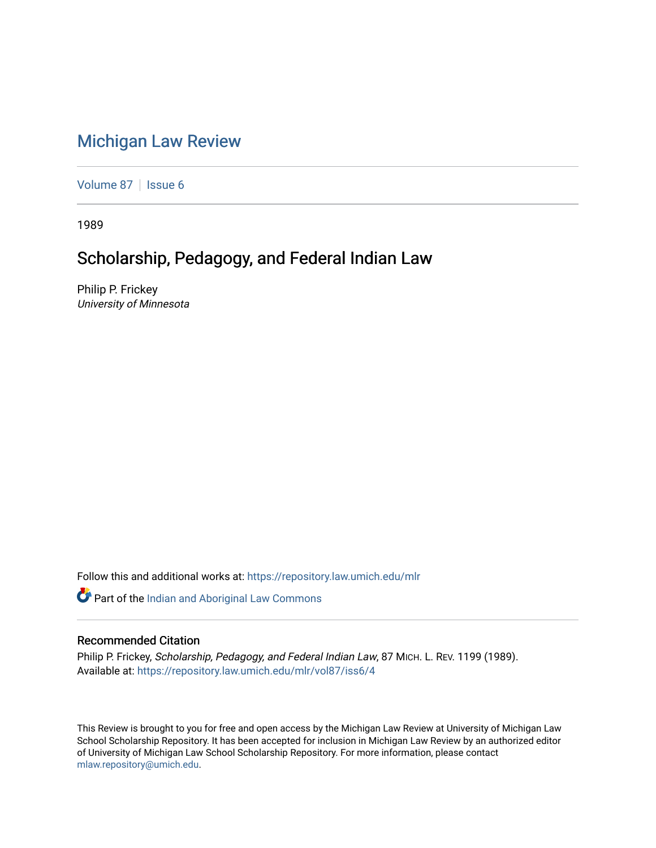# [Michigan Law Review](https://repository.law.umich.edu/mlr)

[Volume 87](https://repository.law.umich.edu/mlr/vol87) | [Issue 6](https://repository.law.umich.edu/mlr/vol87/iss6)

1989

## Scholarship, Pedagogy, and Federal Indian Law

Philip P. Frickey University of Minnesota

Follow this and additional works at: [https://repository.law.umich.edu/mlr](https://repository.law.umich.edu/mlr?utm_source=repository.law.umich.edu%2Fmlr%2Fvol87%2Fiss6%2F4&utm_medium=PDF&utm_campaign=PDFCoverPages) 

Part of the [Indian and Aboriginal Law Commons](http://network.bepress.com/hgg/discipline/894?utm_source=repository.law.umich.edu%2Fmlr%2Fvol87%2Fiss6%2F4&utm_medium=PDF&utm_campaign=PDFCoverPages) 

### Recommended Citation

Philip P. Frickey, Scholarship, Pedagogy, and Federal Indian Law, 87 MICH. L. REV. 1199 (1989). Available at: [https://repository.law.umich.edu/mlr/vol87/iss6/4](https://repository.law.umich.edu/mlr/vol87/iss6/4?utm_source=repository.law.umich.edu%2Fmlr%2Fvol87%2Fiss6%2F4&utm_medium=PDF&utm_campaign=PDFCoverPages)

This Review is brought to you for free and open access by the Michigan Law Review at University of Michigan Law School Scholarship Repository. It has been accepted for inclusion in Michigan Law Review by an authorized editor of University of Michigan Law School Scholarship Repository. For more information, please contact [mlaw.repository@umich.edu.](mailto:mlaw.repository@umich.edu)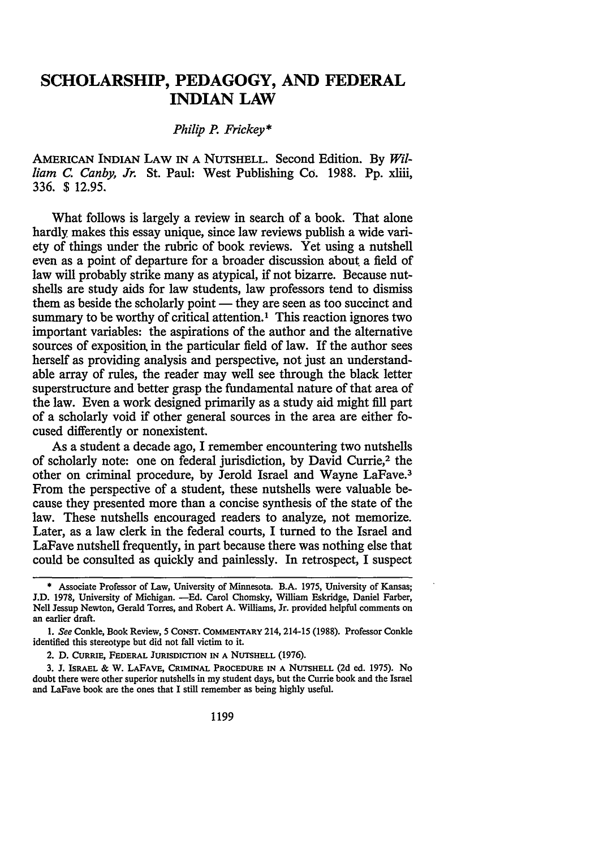### **SCHOLARSHIP, PEDAGOGY, AND FEDERAL INDIAN LAW**

#### *Philip* P. *Frickey\**

AMERICAN INDIAN LAW IN A NUTSHELL. Second Edition. By Wil*liam C. Canby, Jr.* St. Paul: West Publishing Co. 1988. Pp. xliii, 336. \$ 12.95.

What follows is largely a review in search of a book. That alone hardly makes this essay unique, since law reviews publish a wide variety of things under the rubric of book reviews. Yet using a nutshell even as a point of departure for a broader discussion about a field of law will probably strike many as atypical, if not bizarre. Because nutshells are study aids for law students, law professors tend to dismiss them as beside the scholarly point — they are seen as too succinct and summary to be worthy of critical attention.<sup>1</sup> This reaction ignores two important variables: the aspirations of the author and the alternative sources of exposition in the particular field of law. If the author sees herself as providing analysis and perspective, not just an understandable array of rules, the reader may well see through the black letter superstructure and better grasp the fundamental nature of that area of the law. Even a work designed primarily as a study aid might fill part of a scholarly void if other general sources in the area are either focused differently or nonexistent.

As a student a decade ago, I remember encountering two nutshells of scholarly note: one on federal jurisdiction, by David Currie,2 the other on criminal procedure, by Jerold Israel and Wayne LaFave.3 From the perspective of a student, these nutshells were valuable because they presented more than a concise synthesis of the state of the law. These nutshells encouraged readers to analyze, not memorize. Later, as a law clerk in the federal courts, I turned to the Israel and LaFave nutshell frequently, in part because there was nothing else that could be consulted as quickly and painlessly. In retrospect, I suspect

2. D. CURRIE, FEDERAL JURISDICTION IN A NUTSHELL (1976).

3. J. lsRAEL & W. LAFAVE, CRIMINAL PROCEDURE IN A NUTSHELL (2d ed. 1975). No doubt there were other superior nutshells in my student days, but the Currie book and the Israel and LaFave book are the ones that I still remember as being highly useful.

<sup>\*</sup> Associate Professor of Law, University of Minnesota. B.A. 1975, University of Kansas; J.D. 1978, University of Michigan. - Ed. Carol Chomsky, William Eskridge, Daniel Farber, Nell Jessup Newton, Gerald Torres, and Robert A. Williams, Jr. provided helpful comments on an earlier draft.

<sup>1.</sup> *See* Conkle, Book Review, 5 CONST. COMMENTARY 214, 214-15 (1988). Professor Conkle identified this stereotype but did not fall victim to it.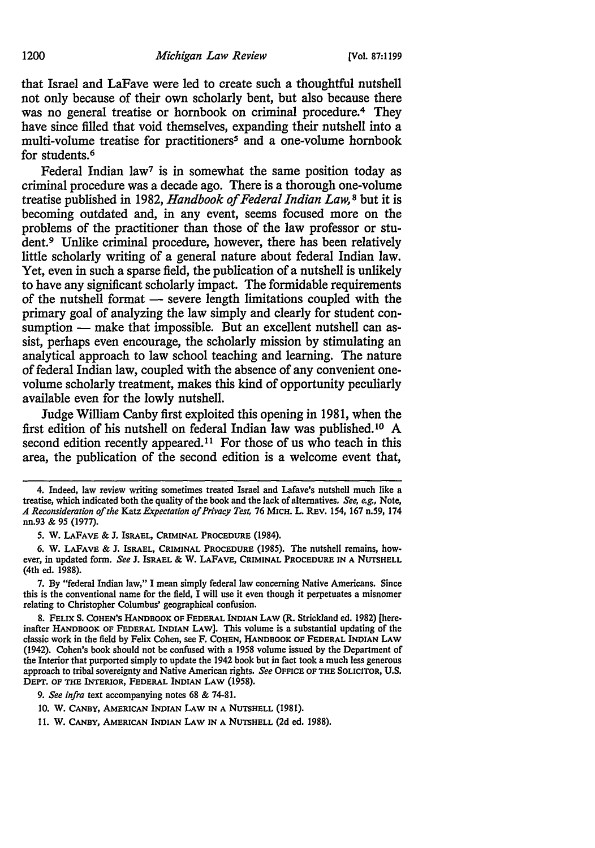that Israel and LaFave were led to create such a thoughtful nutshell not only because of their own scholarly bent, but also because there was no general treatise or hornbook on criminal procedure.<sup>4</sup> They have since filled that void themselves, expanding their nutshell into a multi-volume treatise for practitioners<sup>5</sup> and a one-volume hornbook for students.<sup>6</sup>

Federal Indian law<sup>7</sup> is in somewhat the same position today as criminal procedure was a decade ago. There is a thorough one-volume treatise published in 1982, *Handbook of Federal Indian Law,* 8 but it is becoming outdated and, in any event, seems focused more on the problems of the practitioner than those of the law professor or student.<sup>9</sup> Unlike criminal procedure, however, there has been relatively little scholarly writing of a general nature about federal Indian law. *Yet,* even in such a sparse field, the publication of a nutshell is unlikely to have any significant scholarly impact. The formidable requirements of the nutshell format  $-$  severe length limitations coupled with the primary goal of analyzing the law simply and clearly for student consumption - make that impossible. But an excellent nutshell can assist, perhaps even encourage, the scholarly mission by stimulating an analytical approach to law school teaching and learning. The nature of federal Indian law, coupled with the absence of any convenient onevolume scholarly treatment, makes this kind of opportunity peculiarly available even for the lowly nutshell.

Judge William Canby first exploited this opening in 1981, when the first edition of his nutshell on federal Indian law was published. 10 A second edition recently appeared.<sup>11</sup> For those of us who teach in this area, the publication of the second edition is a welcome event that,

7. By "federal Indian law," I mean simply federal law concerning Native Americans. Since this is the conventional name for the field, I will use it even though it perpetuates a misnomer relating to Christopher Columbus' geographical confusion.

9. *See infra* text accompanying notes 68 & 74-81.

<sup>4.</sup> Indeed, Jaw review writing sometimes treated Israel and Lafave's nutshell much like a treatise, which indicated both the quality of the book and the Jack of alternatives. *See, e.g.,* Note, *A Reconsideration of the* Katz *Expectation of Privacy Test, 16* MICH. L. REV. 154, 167 n.59, 174 nn.93 & *95* (1977).

*<sup>5.</sup>* W. LAFAVE & J. ISRAEL, CRIMINAL PROCEDURE (1984).

<sup>6.</sup> w. LAFAVE & J. ISRAEL, CRIMINAL PROCEDURE (1985). The nutshell remains, however, in updated form. *See* J. ISRAEL & w. LAFAVE, CRIMINAL PROCEDURE IN A NUTSHELL (4th ed. 1988).

<sup>8.</sup> FELIX s. CoHEN'S HANDBOOK OF FEDERAL INDIAN LAW (R. Strickland ed. 1982) [hereinafter HANDBOOK OF FEDERAL INDIAN LAW]. This volume is a substantial updating of the classic work in the field by Felix Cohen, see F. COHEN, HANDBOOK OF FEDERAL INDIAN LAW (1942). Cohen's book should not be confused with a 1958 volume issued by the Department of the Interior that purported simply to update the 1942 book but in fact took a much less generous approach to tribal sovereignty and Native American rights. *See* OFFICE OF THE SOLICITOR, U.S. DEPT. OF THE INTERIOR, FEDERAL INDIAN LAW (1958).

<sup>10.</sup> W. CANBY, AMERICAN INDIAN LAW IN A NUTSHELL (1981).

<sup>11.</sup> W. CANBY, AMERICAN INDIAN LAW IN A NUTSHELL (2d ed. 1988).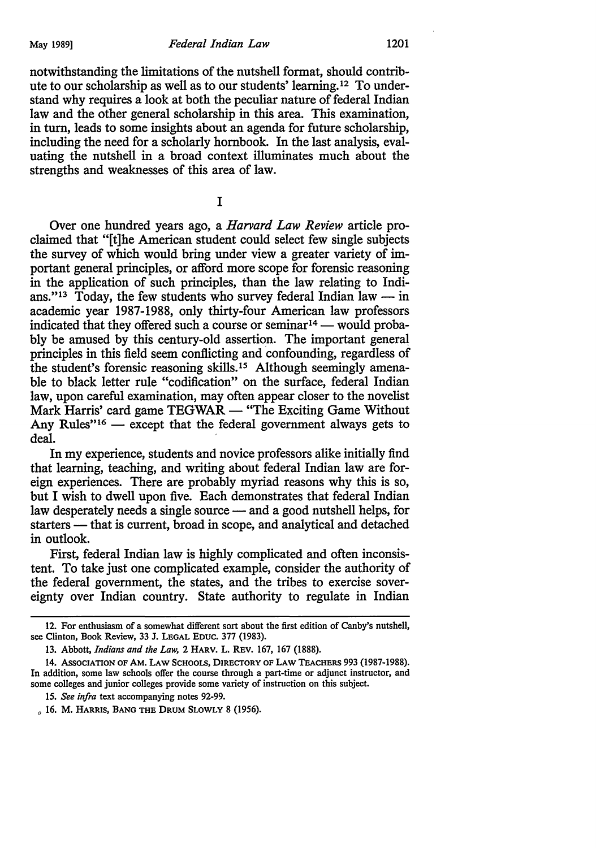notwithstanding the limitations of the nutshell format, should contribute to our scholarship as well as to our students' learning.12 To understand why requires a look at both the peculiar nature of federal Indian law and the other general scholarship in this area. This examination, in turn, leads to some insights about an agenda for future scholarship, including the need for a scholarly hornbook. In the last analysis, evaluating the nutshell in a broad context illuminates much about the strengths and weaknesses of this area of law.

I

Over one hundred years ago, a *Harvard Law Review* article proclaimed that "[t]he American student could select few single subjects the survey of which would bring under view a greater variety of important general principles, or afford more scope for forensic reasoning in the application of such principles, than the law relating to Indians."<sup>13</sup> Today, the few students who survey federal Indian law  $-$  in academic year 1987-1988, only thirty-four American law professors indicated that they offered such a course or seminar<sup>14</sup> - would probably be amused by this century-old assertion. The important general principles in this field seem conflicting and confounding, regardless of the student's forensic reasoning skills.<sup>15</sup> Although seemingly amenable to black letter rule "codification" on the surface, federal Indian law, upon careful examination, may often appear closer to the novelist Mark Harris' card game TEGWAR — "The Exciting Game Without" Any Rules"<sup>16</sup>  $-$  except that the federal government always gets to deal.

In my experience, students and novice professors alike initially find that learning, teaching, and writing about federal Indian law are foreign experiences. There are probably myriad reasons why this is so, but I wish to dwell upon five. Each demonstrates that federal Indian law desperately needs a single source — and a good nutshell helps, for starters - that is current, broad in scope, and analytical and detached in outlook.

First, federal Indian law is highly complicated and often inconsistent. To take just one complicated example, consider the authority of the federal government, the states, and the tribes to exercise sovereignty over Indian country. State authority to regulate in Indian

<sup>12.</sup> For enthusiasm of a somewhat different sort about the first edition of Canby's nutshell, see Clinton, Book Review, 33 J. LEGAL EDUC. 377 (1983).

<sup>13.</sup> Abbott, *Indians and the Law,* 2 HARV. L. REv. 167, 167 (1888).

<sup>14.</sup> AssOCIATION OF AM. LAW SCHOOLS, DIRECTORY OF LAW TEACHERS 993 (1987-1988). In addition, some law schools offer the course through a part-time or adjunct instructor, and some colleges and junior colleges provide some variety of instruction on this subject.

<sup>15.</sup> *See infra* text accompanying notes 92-99.

 $_0$  16. M. HARRIS, BANG THE DRUM SLOWLY 8 (1956).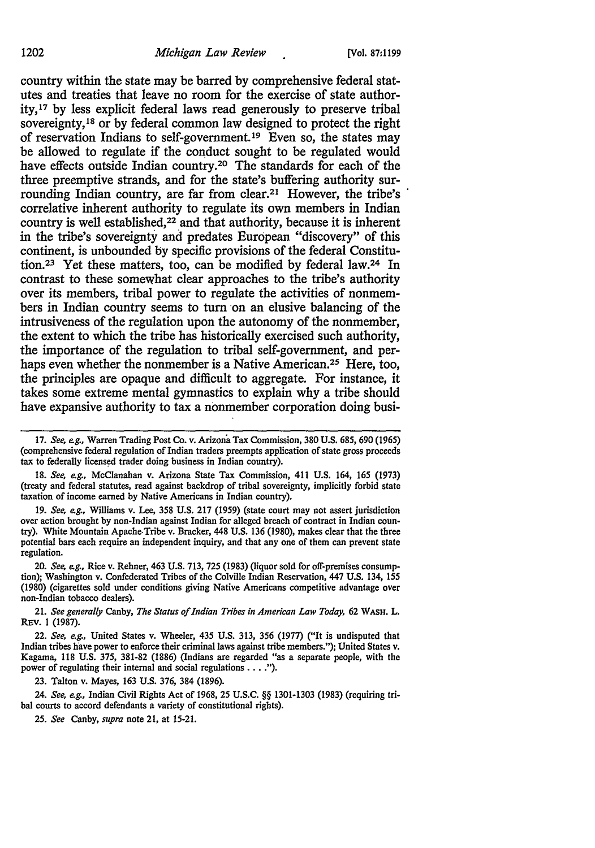country within the state may be barred by comprehensive federal statutes and treaties that leave no room for the exercise of state authority, 17 by less explicit federal laws read generously to preserve tribal sovereignty,<sup>18</sup> or by federal common law designed to protect the right of reservation Indians to self-government. 19 Even so, the states may be allowed to regulate if the conduct sought to be regulated would have effects outside Indian country.<sup>20</sup> The standards for each of the three preemptive strands, and for the state's buffering authority surrounding Indian country, are far from clear.21 However, the tribe's correlative inherent authority to regulate its own members in Indian country is well established,<sup>22</sup> and that authority, because it is inherent in the tribe's sovereignty and predates European "discovery" of this continent, is unbounded by specific provisions of the federal Constitution.<sup>23</sup> Yet these matters, too, can be modified by federal law.<sup>24</sup> In contrast to these somewhat clear approaches to the tribe's authority over its members, tribal power to regulate the activities of nonmembers in Indian country seems to turn on an elusive balancing of the intrusiveness of the regulation upon the autonomy of the nonmember, the extent to which the tribe has historically exercised such authority, the importance of the regulation to tribal self-government, and perhaps even whether the nonmember is a Native American.<sup>25</sup> Here, too, the principles are opaque and difficult to aggregate. For instance, it takes some extreme mental gymnastics to explain why a tribe should have expansive authority to tax a nonmember corporation doing busi-

18. *See, e.g.,* McClanahan v. Arizona State Tax Commission, 411 U.S. 164, 165 (1973) (treaty and federal statutes, read against backdrop of tribal sovereignty, implicitly forbid state taxation of income earned by Native Americans in Indian country).

19. *See, e.g.,* Williams v. Lee, 358 U.S. 217 (1959) (state court may not assert jurisdiction over action brought by non-Indian against Indian for alleged breach of contract in Indian country). White Mountain Apache-Tribe v. Bracker, 448 U.S. 136 (1980), makes clear that the three potential bars each require an independent inquiry, and that any one of them can prevent state regulation.

20. *See, e.g.,* Rice v. Rehner, 463 U.S. 713, 725 (1983) (liquor sold for off-premises consumption); Washington v. Confederated Tribes of the Colville Indian Reservation, 447 U.S. 134, 155 (1980) (cigarettes sold under conditions giving Native Americans competitive advantage over non-Indian tobacco dealers).

21. *See generally* Canby, *The Status of Indian Tribes in American Law Today,* 62 WASH. L. REV. 1 (1987).

22. *See, e.g.,* United States v. Wheeler, 435 U.S. 313, 356 (1977) ("It is undisputed that Indian tribes have power to enforce their criminal laws against tribe members."); United States v. Kagama, 118 U.S. 375, 381-82 (1886) (Indians are regarded "as a separate people, with the power of regulating their internal and social regulations .... ").

23. Talton v. Mayes, 163 U.S. 376, 384 (1896).

24. *See, e.g.,* Indian Civil Rights Act of 1968, 25 U.S.C. §§ 1301-1303 (1983) (requiring tribal courts to accord defendants a variety of constitutional rights).

<sup>17.</sup> *See, e.g.,* Warren Trading Post Co. *v.* Arizona Tax Commission, 380 U.S. 685, 690 (1965) (comprehensive federal regulation of Indian traders preempts application of state gross proceeds tax to federally licensed trader doing business in Indian country).

<sup>25.</sup> *See* Canby, *supra* note 21, at 15-21.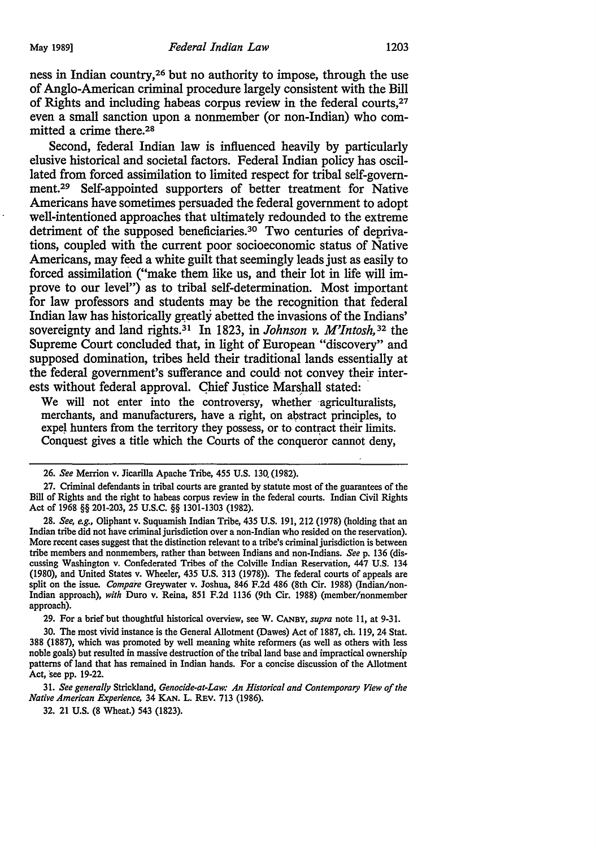ness in Indian country,26 but no authority to impose, through the use of Anglo-American criminal procedure largely consistent with the Bill of Rights and including habeas corpus review in the federal courts, 27 even a small sanction upon a nonmember (or non-Indian) who committed a crime there. 2s

Second, federal Indian law is influenced heavily by particularly elusive historical and societal factors. Federal Indian policy has oscillated from forced assimilation to limited respect for tribal self-govemment.<sup>29</sup> Self-appointed supporters of better treatment for Native Americans have sometimes persuaded the federal government to adopt well-intentioned approaches that ultimately redounded to the extreme detriment of the supposed beneficiaries.<sup>30</sup> Two centuries of deprivations, coupled with the current poor socioeconomic status of Native Americans, may feed a white guilt that seemingly leads just as easily to forced assimilation ("make them like us, and their lot in life will improve to our level") as to tribal self-determination. Most important for law professors and students may be the recognition that federal Indian law has historically greatly abetted the invasions of the Indians' sovereignty and land rights.<sup>31</sup> In 1823, in *Johnson v. M'Intosh*,<sup>32</sup> the Supreme Court concluded that, in light of European "discovery" and supposed domination, tribes held their traditional lands essentially at the federal government's sufferance and could not convey their interests without federal approval. Chief Justice Marshall stated:

We will not enter into the controversy, whether agriculturalists, merchants, and manufacturers, have a right, on abstract principles, to expel hunters from the territory they possess, or to contract their limits. Conquest gives a title which the Courts of the conqueror cannot deny,

29. For a brief but thoughtful historical overview, see W. CANBY, *supra* note 11, at 9-31.

30. The most vivid instance is the General Allotment (Dawes) Act of 1887, ch. 119, 24 Stat. 388 (1887), which was promoted by well meaning white reformers (as well as others with less noble goals) but resulted in massive destruction of the tribal land base and impractical ownership patterns of land that has remained in Indian hands. For a concise discussion of the Allotment Act, see pp. 19-22.

31. *See generally* Strickland, *Genocide-at-Law: An Historical and Contemporary View of the Native American Experience,* 34 KAN. L. REv. 713 (1986).

32. 21 U.S. (8 Wheat.) 543 (1823).

<sup>26.</sup> *See* Merrion v. Jicarilla Apache Tribe, 455 U.S. 130. (1982).

<sup>27.</sup> Criminal defendants in tribal courts are granted by statute most of the guarantees of the Bill of Rights and the right to habeas corpus review in the federal courts. Indian Civil Rights Act of 1968 §§ 201-203, 25 U.S.C. §§ 1301-1303 (1982).

<sup>28.</sup> *See, e.g.,* Oliphant v. Suquamish Indian Tribe, 435 U.S. 191, 212 (1978) (holding that an Indian tribe did not have criminal jurisdiction over a non-Indian who resided on the reservation). More recent cases suggest that the distinction relevant to a tribe's criminal jurisdiction is between tribe members and nonmembers, rather than between Indians and non-Indians. *See* p. 136 {discussing Washington v. Confederated Tribes of the Colville Indian Reservation, 447 U.S. 134 (1980), and United States v. Wheeler, 435 U.S. 313 (1978)). The federal courts of appeals are split on the issue. *Compare* Greywater v. Joshua, 846 F.2d 486 (8th Cir. 1988) {Indian/non-Indian approach), *with* Dure v. Reina, 851 F.2d 1136 (9th Cir. 1988) (member/nonmember approach).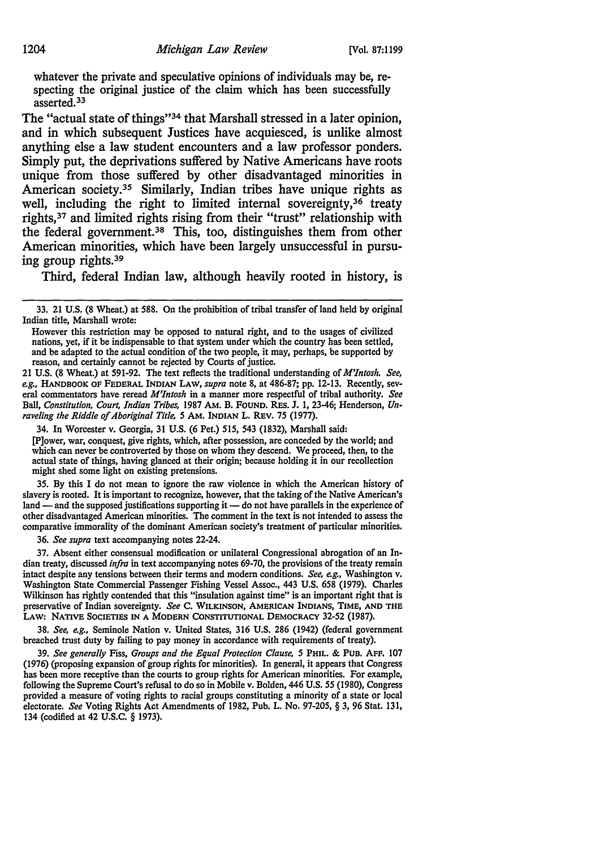whatever the private and speculative opinions of individuals may be, respecting the original justice of the claim which has been successfully asserted. 33

The "actual state of things"34 that Marshall stressed in a later opinion, and in which subsequent Justices have acquiesced, is unlike almost anything else a law student encounters and a law professor ponders. Simply put, the deprivations suffered by Native Americans have roots unique from those suffered by other disadvantaged minorities in American society.<sup>35</sup> Similarly, Indian tribes have unique rights as well, including the right to limited internal sovereignty,<sup>36</sup> treaty rights, 37 and limited rights rising from their "trust" relationship with the federal government.<sup>38</sup> This, too, distinguishes them from other American minorities, which have been largely unsuccessful in pursuing group rights. 39

Third, federal Indian law, although heavily rooted in history, is

34. In Worcester v. Georgia, 31 U.S. (6 Pet.) 515, 543 (1832), Marshall said: [P]ower, war, conquest, give rights, which, after possession, are conceded by the world; and which can never be controverted by those on whom they descend. We proceed, then, to the actual state of things, having glanced at their origin; because holding it in our recollection might shed some light on existing pretensions.

35. By this I do not mean to ignore the raw violence in which the American history of slavery is rooted. It is important to recognize, however, that the taking of the Native American's land - and the supposed justifications supporting it - do not have parallels in the experience of other disadvantaged American minorities. The comment in the text is not intended to assess the comparative immorality of the dominant American society's treatment of particular minorities.

36. *See supra* text accompanying notes 22-24.

37. Absent either consensual modification or unilateral Congressional abrogation of an Indian treaty, discussed *infra* in text accompanying notes 69-70, the provisions of the treaty remain intact despite any tensions between their terms and modem conditions. *See, e.g.,* Washington v. Washington State Commercial Passenger Fishing Vessel Assoc., 443 U.S. 658 (1979). Charles Wilkinson has rightly contended that this "insulation against time" is an important right that is preservative of Indian sovereignty. *See* c. WILKINSON, AMERICAN INDIANS, TIME, AND THE LAW: NATIVE SOCIETIES IN A MODERN CONSTITUTIONAL DEMOCRACY 32-52 (1987).

38. *See, e.g.,* Seminole Nation v. United States, 316 U.S. 286 (1942) (federal government breached trust duty by failing to pay money in accordance with requirements of treaty).

39. *See generally* Fiss, *Groups and the Equal Protection Clause, 5* PHIL. & PUB. AFF. 107 (1976) (proposing expansion of group rights for minorities). In general, it appears that Congress has been more receptive than the courts to group rights for American minorities. For example, following the Supreme Court's refusal to do so in Mobile v. Bolden, 446 U.S. *55* (1980), Congress provided a measure of voting rights to racial groups constituting a minority of a state or local electorate. *See* Voting Rights Act Amendments of 1982, Pub. L. No. 97-205, § 3, 96 Stat. 131, 134 (codified at 42 U.S.C. § 1973).

<sup>33. 21</sup> U.S. (8 Wheat.) at 588. On the prohibition of tribal transfer of land held by original Indian title, Marshall wrote:

However this restriction may be opposed to natural right, and to the usages of civilized nations, yet, if it be indispensable to that system under which the country has been settled, and be adapted to the actual condition of the two people, it may, perhaps, be supported by reason, and certainly cannot be rejected by Courts of justice.

<sup>21</sup> U.S. (8 Wheat.) at 591-92. The text reflects the traditional understanding of *M'Jntosh. See, e.g.,* HANDBOOK OF FEDERAL INDIAN LAW, *supra* note 8, at 486-87; pp. 12-13. Recently, several commentators have reread *M'Intosh* in a manner more respectful of tribal authority. *See*  Ball, *Constitution, Court, Indian Tribes,* 1987 AM. B. FOUND. REs. *].* 1, 23-46; Henderson, *Unraveling the Riddle of Aboriginal Title, 5* AM. INDIAN L. REV. 75 (1977).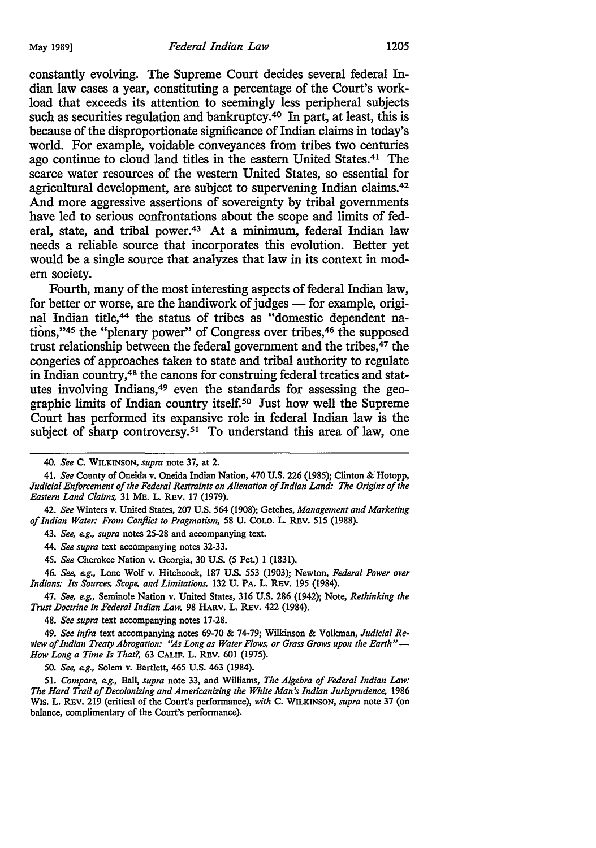constantly evolving. The Supreme Court decides several federal Indian law cases a year, constituting a percentage of the Court's workload that exceeds its attention to seemingly less peripheral subjects such as securities regulation and bankruptcy.<sup>40</sup> In part, at least, this is because of the disproportionate significance of Indian claims in today's world. For example, voidable conveyances from tribes two centuries ago continue to cloud land titles in the eastern United States.41 The scarce water resources of the western United States, so essential for agricultural development, are subject to supervening Indian claims.42 And more aggressive assertions of sovereignty by tribal governments have led to serious confrontations about the scope and limits of federal, state, and tribal power.<sup>43</sup> At a minimum, federal Indian law needs a reliable source that incorporates this evolution. Better yet would be a single source that analyzes that law in its context in modern society.

Fourth, many of the most interesting aspects of federal Indian law, for better or worse, are the handiwork of judges - for example, original Indian title,<sup>44</sup> the status of tribes as "domestic dependent nations,"4S the "plenary power" of Congress over tribes,46 the supposed trust relationship between the federal government and the tribes,<sup>47</sup> the congeries of approaches taken to state and tribal authority to regulate in Indian country, 48 the canons for construing federal treaties and statutes involving Indians, 49 even the standards for assessing the geographic limits of Indian country itself. *so* Just how well the Supreme Court has performed its expansive role in federal Indian law is the subject of sharp controversy.<sup>51</sup> To understand this area of law, one

43. *See, e.g., supra* notes 25-28 and accompanying text.

44. *See supra* text accompanying notes 32-33.

45. *See* Cherokee Nation v. Georgia, 30 U.S. (5 Pet.) 1 (1831).

46. *See, e.g.,* Lone Wolf v. Hitchcock, 187 U.S. 553 (1903); Newton, *Federal Power over Indians: Its Sources, Scope, and Limitations,* 132 U. PA. L. REv. 195 (1984).

47. *See, e.g.,* Seminole Nation v. United States, 316 U.S. 286 (1942); Note, *Rethinking the Trust Doctrine in Federal Indian Law,* 98 HARV. L. REv. 422 (1984).

48. *See supra* text accompanying notes 17-28.

49. *See infra* text accompanying notes 69-70 & 74-79; Wilkinson & Volkman, *Judicial Review of Indian Treaty Abrogation: ''.As Long as Water Flows, or Grass Grows upon the Earth"* - *How Lang a Time Is That?,* 63 CALIF. L. REv. 601 (1975).

50. *See, e.g.,* Solem v. Bartlett, 465 U.S. 463 (1984).

51. *Compare, e.g.,* Ball, *supra* note 33, and Williams, *The Algebra of Federal Indian Law: The Hard Trail of Decolonizing and Americanizing the White Man's Indian Jurisprudence,* 1986 Wis. L. REv. 219 (critical of the Court's performance), *with* C. WILKINSON, *supra* note 37 (on balance, complimentary of the Court's performance).

<sup>40.</sup> *See* C. WILKINSON, *supra* note 37, at 2.

<sup>41.</sup> *See* County of Oneida v. Oneida Indian Nation, 470 U.S. 226 (1985); Clinton *8i* Hotopp, *Judicial Enforcement of the Federal Restraints on Alienation of Indian Land: The Origins of the Eastern Land Claims,* 31 ME. L. REv. 17 (1979).

<sup>42.</sup> *See* Winters v. United States, 207 U.S. 564 (1908); Getches, *Management and Marketing of Indian Water: From Conflict to Pragmatism,* 58 U. CoLO. L. REV. 515 (1988).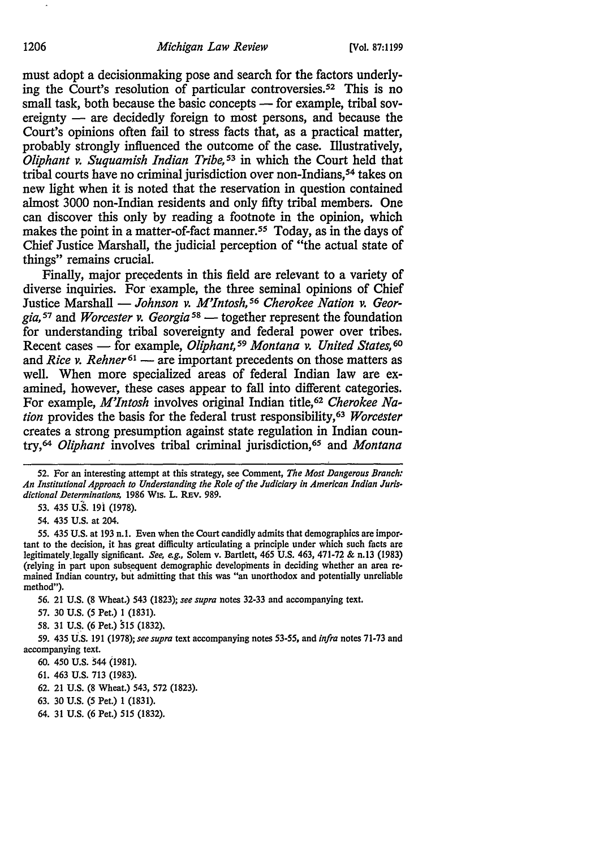must adopt a decisionmaking pose and search for the factors underlying the Court's resolution of particular controversies.<sup>52</sup> This is no small task, both because the basic concepts — for example, tribal sovereignty  $-$  are decidedly foreign to most persons, and because the Court's opinions often fail to stress facts that, as a practical matter, probably strongly influenced the outcome of the case. Illustratively, *Oliphant v. Suquamish Indian Tribe*,<sup>53</sup> in which the Court held that tribal courts have no criminal jurisdiction over non-Indians,<sup>54</sup> takes on new light when it is noted that the reservation in question contained almost 3000 non-Indian residents and only fifty tribal members. One can discover this only by reading a footnote in the opinion, which makes the point in a matter-of-fact manner.<sup>55</sup> Today, as in the days of Chief Justice Marshall, the judicial perception of "the actual state of things" remains crucial.

Finally, major precedents in this field are relevant to a variety of diverse inquiries. For example, the three seminal opinions of Chief Justice Marshall — *Johnson v. M'Intosh*, <sup>56</sup> Cherokee Nation v. Georgia,<sup>57</sup> and *Worcester v. Georgia*<sup>58</sup> — together represent the foundation for understanding tribal sovereignty and federal power over tribes. Recent cases - for example, *Oliphant*,<sup>59</sup> Montana v. United States,<sup>60</sup> and *Rice v. Rehner*<sup>61</sup> — are important precedents on those matters as well. When more specialized areas of federal Indian law are examined, however, these cases appear to fall into different categories. For example, *M'Intosh* involves original Indian title,<sup>62</sup> Cherokee Na*tion* provides the basis for the federal trust responsibility, 63 *Worcester*  creates a strong presumption against state regulation in Indian country, 64 *Oliphant* involves tribal criminal jurisdiction, <sup>6</sup>*s* and *Montana* 

52. For an interesting attempt at this strategy, see Comment, *The Most Dangerous Branch: An Institutional Approach to Understanding the Role of the Judiciary in American Indian Juris· dictional Determinations,* 1986 Wis. L. REv. 989.

53. 435 U.S. 19i (1978).

54. 435 U.S. at 204.

*55.* 435 U.S. at 193 n.1. Even when the Court candidly admits that demographics are impor· tant to the decision, it bas great difficulty articulating a principle under which such facts are legitimately.legally significant. *See, e.g.*, Solem v. Bartlett, 465 U.S. 463, 471-72 & n.13 (1983) (relying in part upon subsequent demographic developments in deciding whether an area remained Indian country, but admitting that this was "an unotthodox and potentially unreliable method").

56. 21 U.S. (8 Wheat.) 543 {1823); *see supra* notes 32-33 and accompanying text.

57. 30 U.S. (5 Pet.) 1 (1831).

58. 31 U.S. (6 Pet.) 515 (1832).

59. 435 U.S. 191 (1978); *see supra* text accompanying notes 53-55, and *infra* notes 71-73 and accompanying text.

60. 450 U.S. 544 (1981).

61. 463 U.S. 713 (1983).

62. 21 U.S. (8 Wheat.) 543, 572 (1823).

63. 30 U.S. (5 Pet.) 1 (1831).

64. 31 U.S. (6 Pet.) 515 (1832).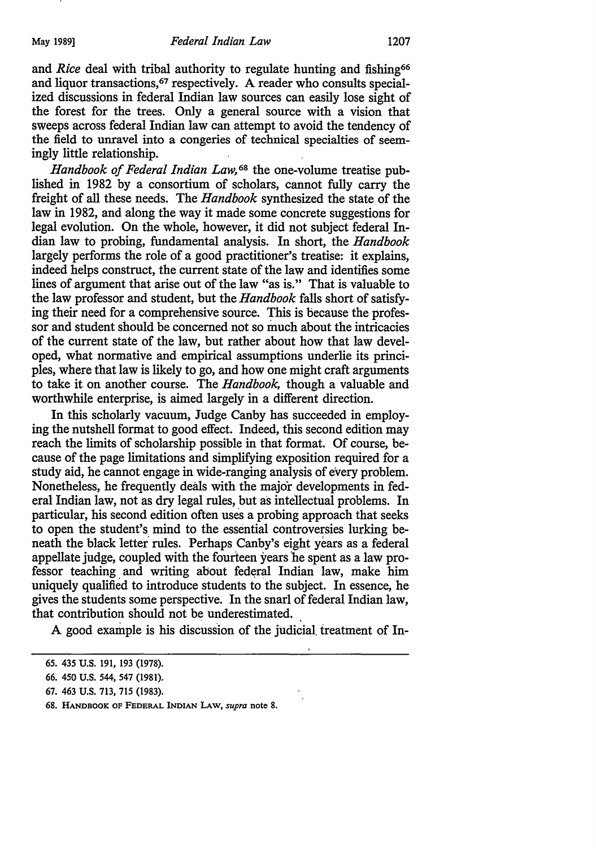and *Rice* deal with tribal authority to regulate hunting and fishing<sup>66</sup> and liquor transactions, 67 respectively. A reader who consults specialized discussions in federal Indian law sources can easily lose sight of the forest for the trees. Only a general source with a vision that sweeps across federal Indian law can attempt to avoid the tendency of the field to unravel into a congeries of technical specialties of seemingly little relationship.

*Handbook of Federal Indian Law,* 68 the one-volume treatise published in 1982 by a consortium of scholars, cannot fully carry the freight of all these needs. The *Handbook* synthesized the state of the law in 1982, and along the way it made some concrete suggestions for legal evolution. On the whole, however, it did not subject federal Indian law to probing, fundamental analysis. In short, the *Handbook*  largely performs the role of a good practitioner's treatise: it explains, indeed helps construct, the current state of the law and identifies some lines of argument that arise out of the law "as is." That is valuable to the law professor and student, but the *Handbook* falls short of satisfying their need for a comprehensive source. This is because the professor and student should be concerned not so much about the intricacies of the current state of the law, but rather about how that law developed, what normative and empirical assumptions underlie its principles, where that law is likely to go, and how one might craft arguments to take it on another course. The *Handbook,* though a valuable and worthwhile enterprise, is aimed largely in a different direction.

In this scholarly vacuum, Judge Canby has succeeded in employing the nutshell format to good effect. Indeed, this second edition may reach the limits of scholarship possible in that format. Of course, because of the page limitations and simplifying exposition required for a study aid, he cannot engage in wide-ranging analysis of every problem. Nonetheless, he frequently deals with the major developments in federal Indian law, not as dry legal rules, but as intellectual problems. In particular, his second edition often uses a probing approach that seeks to open the student's mind to the essential controversies lurking beneath the black letter rules. Perhaps Canby's eight years as a federal appellate judge, coupled with the fourteen years 'he spent as a law professor teaching and writing about federal Indian law, make him uniquely qualified to introduce students to the subject. In essence, he gives the students some perspective. In the snarl of federal Indian law, that contribution should not be underestimated.

A good example is his discussion of the judicial treatment of In-

<sup>65. 435</sup> U.S. 191, 193 (1978).

<sup>66. 450</sup> U.S. 544, 547 (1981).

<sup>67. 463</sup> U.S. 713, 715 (1983).

<sup>68.</sup> HANDBOOK OF FEDERAL INDIAN LAW, *supra* note 8.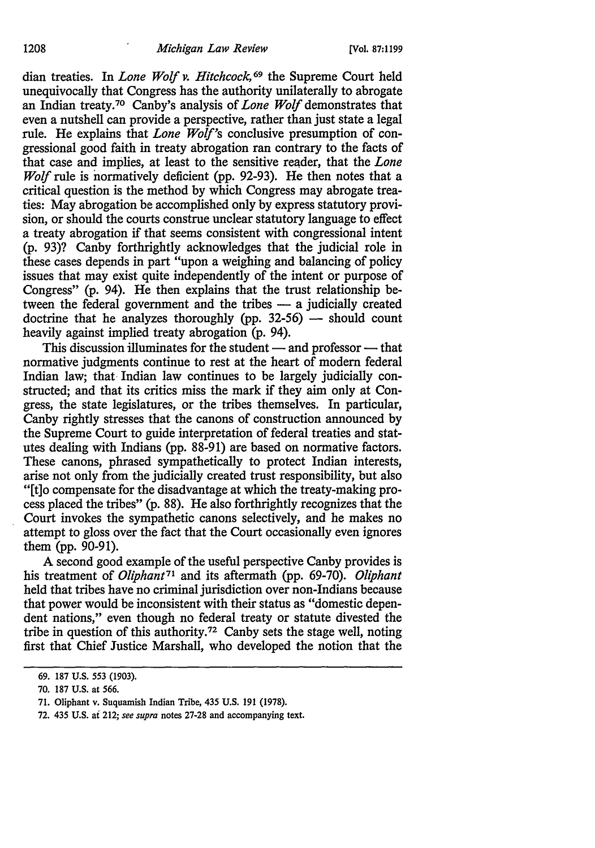dian treaties. In *Lone Wolf v. Hitchcock,* 69 the Supreme Court held unequivocally that Congress has the authority unilaterally to abrogate an Indian treaty.7° Canby's analysis of *Lone Wolf* demonstrates that even a nutshell can provide a perspective, rather than just state a legal rule. He explains that *Lone Wolf's* conclusive presumption of congressional good faith in treaty abrogation ran contrary to the facts of that case and implies, at least to the sensitive reader, that the *Lone Wolf* rule is normatively deficient (pp. 92-93). He then notes that a critical question is the method by which Congress may abrogate treaties: May abrogation be accomplished only by express statutory provision, or should the courts construe unclear statutory language to effect a treaty abrogation if that seems consistent with congressional intent (p. 93)? Canby forthrightly acknowledges that the judicial role in these cases depends in part "upon a weighing and balancing of policy issues that may exist quite independently of the intent or purpose of Congress" (p. 94). He then explains that the trust relationship between the federal government and the tribes  $-$  a judicially created doctrine that he analyzes thoroughly (pp.  $32-56$ ) - should count heavily against implied treaty abrogation (p. 94).

This discussion illuminates for the student  $-$  and professor  $-$  that normative judgments continue to rest at the heart of modem federal Indian law; that Indian law continues to be largely judicially constructed; and that its critics miss the mark if they aim only at Congress, the state legislatures, or the tribes themselves. In particular, Canby rightly stresses that the canons of construction announced by the Supreme Court to guide interpretation of federal treaties and statutes dealing with Indians (pp. 88-91) are based on normative factors. These canons, phrased sympathetically to protect Indian interests, arise not only from the judicially created trust responsibility, but also "[t]o compensate for the disadvantage at which the treaty-making process placed the tribes" (p. 88). He also forthrightly recognizes that the Court invokes the sympathetic canons selectively, and he makes no attempt to gloss over the fact that the Court occasionally even ignores them (pp. 90-91).

A second good example of the useful perspective Canby provides is his treatment of *Oliphant*<sup>71</sup> and its aftermath (pp. 69-70). *Oliphant* held that tribes have no criminal jurisdiction over non-Indians because that power would be inconsistent with their status as "domestic dependent nations," even though no federal treaty or statute divested the tribe in question of this authority.72 Canby sets the stage well, noting first that Chief Justice Marshall, who developed the notion that the

<sup>69. 187</sup> U.S. 553 (1903).

<sup>70. 187</sup> U.S. at 566.

<sup>71.</sup> Oliphant v. Suquamish Indian Tribe, 435 U.S. 191 (1978).

<sup>72. 435</sup> U.S. ai 212; *see supra* notes 27-28 and accompanying text.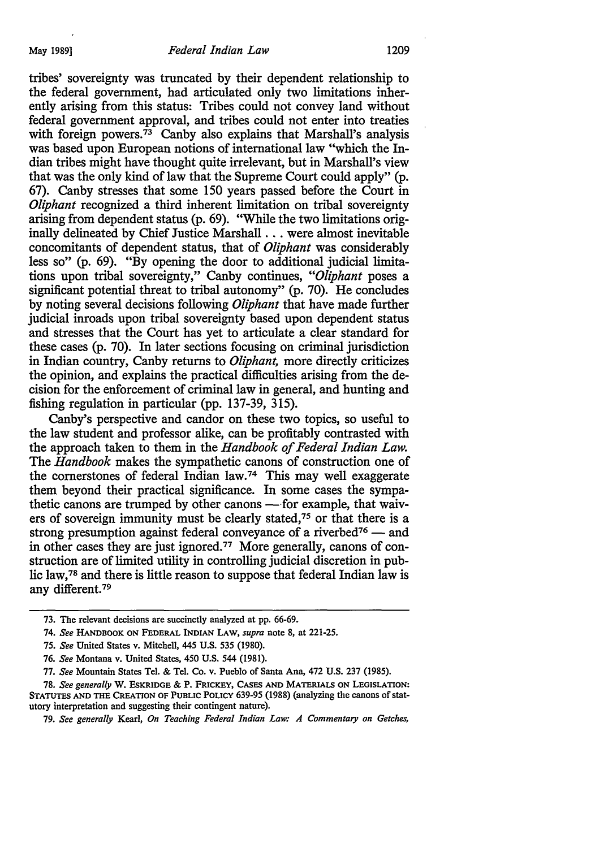tribes' sovereignty was truncated by their dependent relationship to the federal government, had articulated only two limitations inherently arising from this status: Tribes could not convey land without federal government approval, and tribes could not enter into treaties with foreign powers.<sup>73</sup> Canby also explains that Marshall's analysis was based upon European notions of international law "which the Indian tribes might have thought quite irrelevant, but in Marshall's view that was the only kind of law that the Supreme Court could apply" (p. 67). Canby stresses that some 150 years passed before the Court in *Oliphant* recognized a third inherent limitation on tribal sovereignty arising from dependent status (p. 69). "While the two limitations originally delineated by Chief Justice Marshall ... were almost inevitable concomitants of dependent status, that of *Oliphant* was considerably less so" (p. 69). "By opening the door to additional judicial limitations upon tribal sovereignty," Canby continues, *"Oliphant* poses a significant potential threat to tribal autonomy" (p. 70). He concludes by noting several decisions following *Oliphant* that have made further judicial inroads upon tribal sovereignty based upon dependent status and stresses that the Court has yet to articulate a clear standard for these cases (p. 70). In later sections focusing on criminal jurisdiction in Indian country, Canby returns to *Oliphant,* more directly criticizes the opinion, and explains the practical difficulties arising from the decision for the enforcement of criminal law in general, and hunting and fishing regulation in particular (pp. 137-39, 315).

Canby's perspective and candor on these two topics, so useful to the law student and professor alike, can be profitably contrasted with the approach taken to them in the *Handbook of Federal Indian Law.*  The *Handbook* makes the sympathetic canons of construction one of the cornerstones of federal Indian law.<sup>74</sup> This may well exaggerate them beyond their practical significance. In some cases the sympathetic canons are trumped by other canons -- for example, that waivers of sovereign immunity must be clearly stated, 75 or that there is a strong presumption against federal conveyance of a riverbed<sup>76</sup> - and in other cases they are just ignored.77 More generally, canons of construction are of limited utility in controlling judicial discretion in public law, 78 and there is little reason to suppose that federal Indian law is any different. <sup>79</sup>

<sup>73.</sup> The relevant decisions are succinctly analyzed at pp. 66-69.

<sup>74.</sup> *See* HANDBOOK ON FEDERAL INDIAN LAW, *supra* note 8, at 221-25.

<sup>75.</sup> *See* United States v. Mitchell, 445 U.S. 535 (1980).

<sup>76.</sup> *See* Montana v. United States, 450 U.S. 544 (1981).

<sup>77.</sup> *See* Mountain States Tel. & Tel. Co. v. Pueblo of Santa Ana, 472 U.S. 237 (1985).

<sup>78.</sup> *See generally* W. EsKRIDGE & P. FRICKEY, CASES AND MATERIALS ON LEGISLATION: STATUTES AND THE CREATION OF PUBLIC POLICY 639-95 (1988) (analyzing the canons of statutory interpretation and suggesting their contingent nature).

<sup>79.</sup> *See generally* Kearl, *On Teaching Federal Indian Law: A Commentary on Getches,*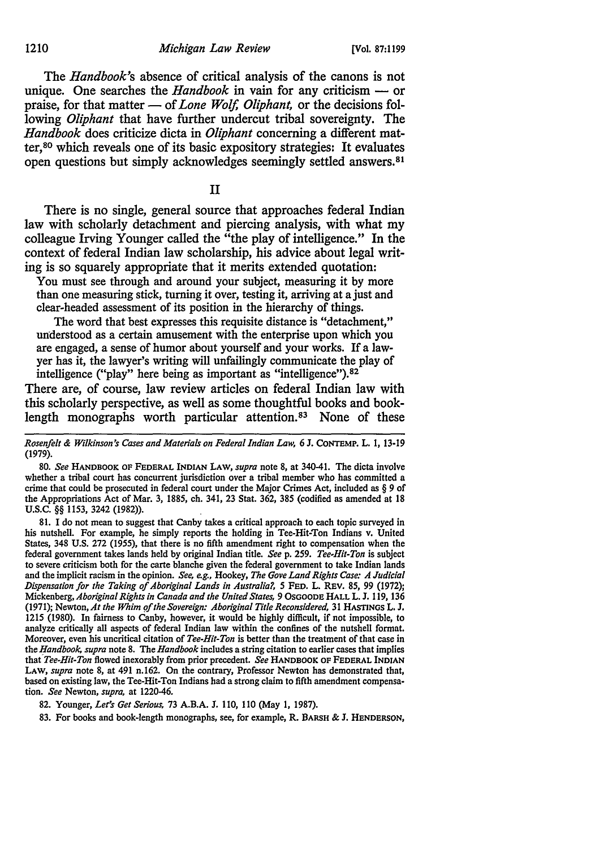The *Handbook's* absence of critical analysis of the canons is not unique. One searches the *Handbook* in vain for any criticism — or praise, for that matter — of *Lone Wolf, Oliphant*, or the decisions following *Oliphant* that have further undercut tribal sovereignty. The *Handbook* does criticize dicta in *Oliphant* concerning a different matter, so which reveals one of its basic expository strategies: It evaluates open questions but simply acknowledges seemingly settled answers.<sup>81</sup>

II

There is no single, general source that approaches federal Indian law with scholarly detachment and piercing analysis, with what my colleague Irving Younger called the "the play of intelligence." In the context of federal Indian law scholarship, his advice about legal writing is so squarely appropriate that it merits extended quotation:

You must see through and around your subject, measuring it by more than one measuring stick, turning it over, testing it, arriving at a just and clear-headed assessment of its position in the hierarchy of things.

The word that best expresses this requisite distance is "detachment," understood as a certain amusement with the enterprise upon which you are engaged, a sense of humor about yourself and your works. If a lawyer has it, the lawyer's writing will unfailingly communicate the play of intelligence ("play" here being as important as "intelligence"). 82

There are, of course, law review articles on federal Indian law with this scholarly perspective, as well as some thoughtful books and booklength monographs worth particular attention.<sup>83</sup> None of these

*Rosenfe/t* & *Wilkinson's Cases and Materials on Federal Indian Law,* 6 J. CONTEMP. L. I, 13-19 (1979).

80. *See* HANDBOOK OF FEDERAL INDIAN LAW, *supra* note 8, at 340-41. The dicta involve whether a tribal court has concurrent jurisdiction over a tribal member who has committed a crime that could be prosecuted in federal court under the Major Crimes Act, included as § *9* of the Appropriations Act of Mar. 3, 1885, ch. 341, 23 Stat. 362, 385 (codified as amended at 18 u.s.c. §§ 1153, 3242 (1982)).

81. I do not mean to suggest that Canby takes a critical approach to each topic surveyed in his nutshell. For example, he simply reports the holding in Tee-Hit-Ton Indians v. United States, 348 U.S. 272 (1955), that there is no fifth amendment right to compensation when the federal government takes lands held by original Indian title. *Seep.* 259. *Tee-Hit-Ton* is subject to severe criticism both for the carte blanche given the federal government to take Indian lands and the implicit racism in the opinion. *See, e.g.,* Hookey, *The Gove Land Rights Case: A Judicial Dispensation for the Taking of Aboriginal Lands in Australia?, 5* FED. L. REV. 85, *99* (1972); Mickenberg, *Aboriginal Rights in Canada and the United States,* 9 OsGOODE HALL L. J. 119, 136 (1971); Newton, *At the Whim pf the Sovereign: Aboriginal Title Reconsidered,* 31 HASTINGS L. J. 1215 (1980). In fairness to Canby, however, it would be highly difficult, if not impossible, to analyze critically all aspects of federal Indian law within the confines of the nutshell format. Moreover, even his uncritical citation of *Tee-Hit-Ton* is better than the treatment of that case in the *Handbook, supra* note 8. The *Handbook* includes a string citation to earlier cases that implies that' *Tee-Hit-Ton* flowed inexorably from prior precedent. *See* HANDBOOK OF FEDERAL INDIAN LAW, *supra* note 8, at 491 n.162. On the contrary, Professor Newton has demonstrated that, based on existing law, the Tee-Hit-Ton Indians had a strong claim to fifth amendment compensation. *See* Newton, *supra,* at 1220-46.

82. Younger, *Let's Get Serious,* 73 A.B.A. J. 110, 110 (May I, 1987).

83. For books and book-length monographs, see, for example, R. BARSH & J. HENDERSON,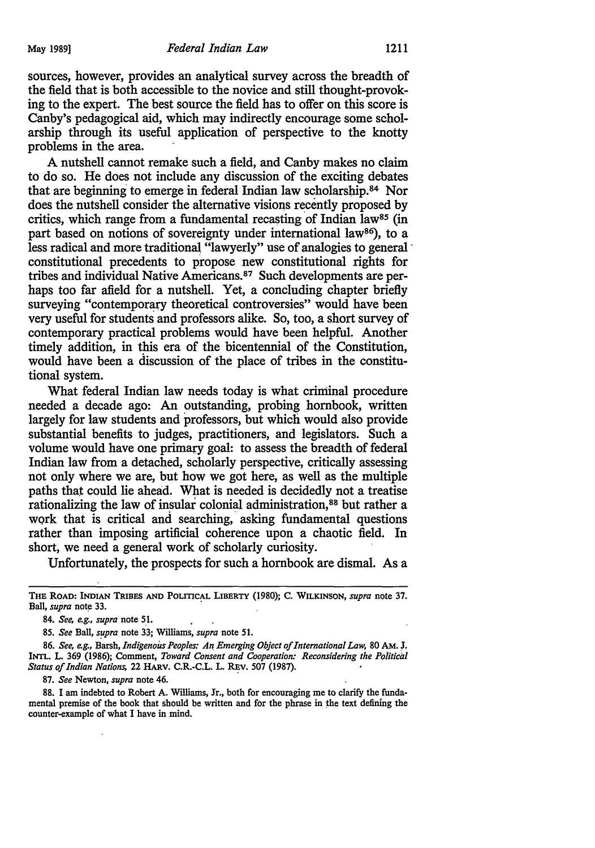sources, however, provides an analytical survey across the breadth of the field that is both accessible to the novice and still thought-provoking to the expert. The best source the field has to offer on this score is Canby's pedagogical aid, which may indirectly encourage some scholarship through its useful application of perspective to the knotty problems in the area.

A nutshell cannot remake such a field, and Canby makes no claim to do so. He does not include any discussion of the exciting debates that are beginning to emerge in federal Indian law scholarship.<sup>84</sup> Nor does the nutshell consider the alternative visions recently proposed by critics, which range from a fundamental recasting of Indian law<sup>85</sup> (in part based on notions of sovereignty under international law<sup>86</sup>), to a less radical and more traditional "lawyerly" use of analogies to general constitutional precedents to propose new constitutional rights for tribes and individual Native Americans. 87 Such developments are perhaps too far afield for a nutshell. Yet, a concluding chapter briefly surveying "contemporary theoretical controversies" would have been very useful for students and professors alike. So, too, a short survey of contemporary practical problems would have been helpful. Another timely addition, in this era of the bicentennial of the Constitution, would have been a discussion of the place of tribes in the constitutional system.

What federal Indian law needs today is what criminal procedure needed a decade ago: An outstanding, probing hornbook, written largely for law students and professors, but which would also provide substantial benefits to judges, practitioners, and legislators. Such a volume would have one primary goal: to assess the breadth of federal Indian law from a detached, scholarly perspective, critically assessing not only where we are, but how we got here, as well as the multiple paths that could lie ahead. What is needed is decidedly not a treatise rationalizing the law of insular colonial administration, 88 but rather a work that is critical and searching, asking fundamental questions rather than imposing artificial coherence upon a chaotic field. In short, we need a general work of scholarly curiosity.

Unfortunately, the prospects for such a hornbook are dismal. As a

85. *See Ball, supra* note 33; Williams, *supra* note 51.

86. *See, e.g., Barsh, Indigenous Peoples: An Emerging Object of International Law, 80 AM. J.* INTL. L. 369 (1986); Comment, *Toward Consent and Cooperation: Reconsidering the Political Status of Indian Nations, 22 HARV. C.R.-C.L. L. REV. 507 (1987).* 

87. *See* Newton, *supra* note 46.

88. I am indebted to Robert A. Williams, Jr., both for encouraging me to clarify the fundamental premise of the book that should be written and for the phrase in the text defining the counter-example of what I have in mind.

THE ROAD: INDIAN TRIBES AND POLITICAL LIBERTY (1980); c. WILKINSON, *supra* note 37. Ball, *supra* note 33.

<sup>84.</sup> *See, e.g., supra* note SL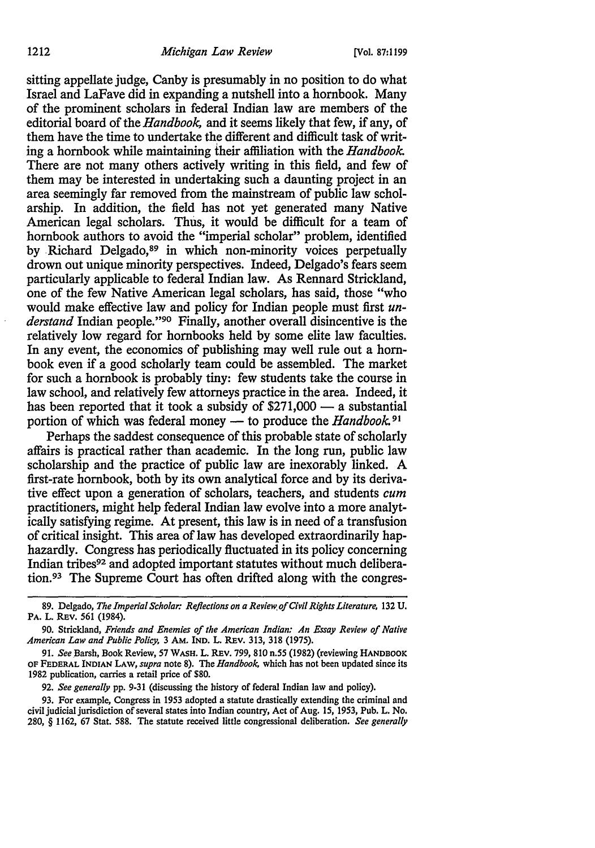sitting appellate judge, Canby is presumably in no position to do what Israel and LaFave did in expanding a nutshell into a hornbook. Many of the prominent scholars in federal Indian law are members of the editorial board of the *Handbook,* and it seems likely that few, if any, of them have the time to undertake the different and difficult task of writing a hornbook while maintaining their affiliation with the *Handbook*  There are not many others actively writing in this field, and few of them may be interested in undertaking such a daunting project in an area seemingly far removed from the mainstream of public law scholarship. In addition, the field has not yet generated many Native American legal scholars. Thus, it would be difficult for a team of hornbook authors to avoid the "imperial scholar" problem, identified by Richard Delgado,<sup>89</sup> in which non-minority voices perpetually drown out unique minority perspectives. Indeed, Delgado's fears seem particularly applicable to federal Indian law. As Rennard Strickland, one of the few Native American legal scholars, has said, those "who would make effective law and policy for Indian people must first *understand* Indian people."9° Finally, another overall disincentive is the relatively low regard for hornbooks held by some elite law faculties. In any event, the economics of publishing may well rule out a hornbook even if a good scholarly team could be assembled. The market for such a hornbook is probably tiny: few students take the course in law school, and relatively few attorneys practice in the area. Indeed, it has been reported that it took a subsidy of  $$271,000$  - a substantial portion of which was federal money - to produce the *Handbook*.<sup>91</sup>

Perhaps the saddest consequence of this probable state of scholarly affairs is practical rather than academic. In the long run, public law scholarship and the practice of public law are inexorably linked. A first-rate hornbook, both by its own analytical force and by its derivative effect upon a generation of scholars, teachers, and students cum practitioners, might help federal Indian law evolve into a more analytically satisfying regime. At present, this law is in need of a transfusion of critical insight. This area of law has developed extraordinarily haphazardly. Congress has periodically fluctuated in its policy concerning Indian tribes92 and adopted important statutes without much deliberation. 93 The Supreme Court has often drifted along with the congres-

92. *See generally* pp. 9-31 (discussing the history of federal Indian law and policy).

93. For example, Congress in 1953 adopted a statute drastically extending the criminal and civil judicial jurisdiction of several states into Indian country, Act of Aug. 15, 1953, Pub. L. No. 280, § 1162, 67 Stat. 588. The statute received little congressional deliberation. *See generally* 

<sup>89.</sup> Delgado, *The Imperial Scholar: Reflections on a Review of Civil Rights Literature*, 132 U. PA. L. REV. 561 (1984).

<sup>90.</sup> Strickland, *Friends and Enemies of the American Indian: An Essay Review of Native American Law and Public Policy,* 3 AM. IND. L. REV. 313, 318 (1975).

<sup>91.</sup> *See* Barsh, Book Review, 57 WASH. L. REV. 799, 810 n.55 (1982) (reviewing HANDBOOK OF FEDERAL INDIAN LAW, *supra* note 8). The *Handbook.* which has not been updated since its 1982 publication, carries a retail price of \$80.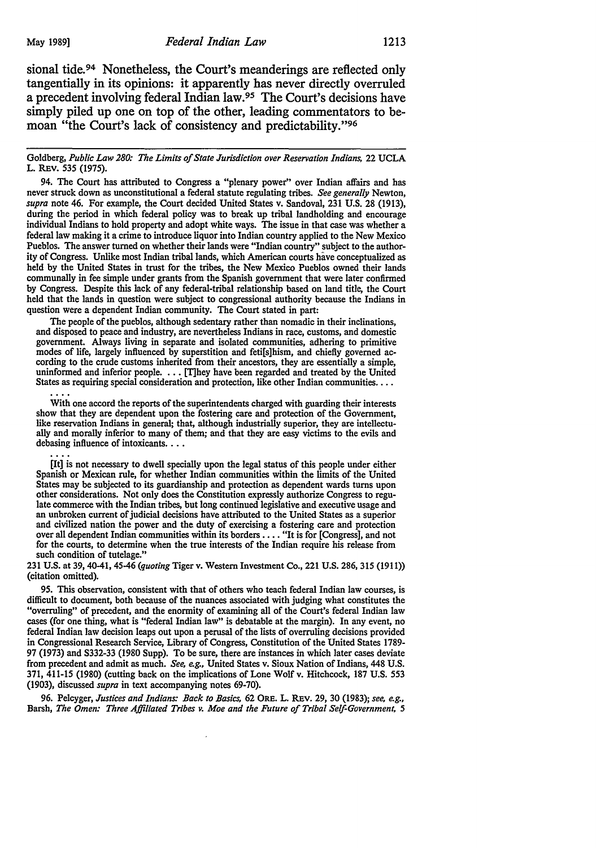sional tide.<sup>94</sup> Nonetheless, the Court's meanderings are reflected only tangentially in its opinions: it apparently has never directly overruled a precedent involving federal Indian law.95 The Court's decisions have simply piled up one on top of the other, leading commentators to bemoan "the Court's lack of consistency and predictability."<sup>96</sup>

Goldberg, *Public Law 280: The Limits of State Jurisdiction over Reservation Indians,* 22 UCLA L. REV. 535 (1975).

94. The Court has attributed to Congress a "plenary power" over Indian affairs and has never struck down as unconstitutional a federal statute regulating tribes. *See generally* Newton, *supra* note 46. For example, the Court decided United States v. Sandoval, 231 U.S. 28 (1913), during the period in which federal policy was to break up tribal landholding and encourage individual Indians to hold property and adopt white ways. The issue in that case was whether a federal law making it a crime to introduce liquor into Indian country applied to the New Mexico Pueblos. The answer turned on whether their lands were "Indian country" subject to the authority of Congress. Unlike most Indian tribal lands, which American courts have conceptualized as held by the United States in trust for the tribes, the New Mexico Pueblos owned their lands communally in fee simple under grants from the Spanish government that were later confirmed by Congress. Despite this lack of any federal-tribal relationship based on land title, the Court held that the lands in question were subject to congressional authority because the Indians in question were a dependent Indian community. The Court stated in part:

The people of the pueblos, although sedentary rather than nomadic in their inclinations, and disposed to peace and industry, are nevertheless Indians in race, customs, and domestic government. Always living in separate and isolated communities, adhering to primitive modes of life, largely influenced by superstition and feti[s]hism, and chiefly governed according to the crude customs inherited from their ancestors, they are essentially a simple, uninformed and inferior people. . .• [T]hey have been regarded and treated by the United States as requiring special consideration and protection, like other Indian communities ....

With one accord the reports of the superintendents charged with guarding their interests show that they are dependent upon the fostering care and protection of the Government, like reservation Indians in general; that, although industrially superior, they are intellectually and morally inferior to many of them; and that they are easy victims to the evils and debasing influence of intoxicants. . . .

[It] is not necessary to dwell specially upon the legal status of this people under either Spanish or Mexican rule, for whether Indian communities within the limits of the United States may be subjected to its guardianship and protection as dependent wards turns upon other considerations. Not only does the Constitution expressly authorize Congress to regulate commerce with the Indian tribes, but long continued legislative and executive usage and an unbroken current of judicial decisions have attributed to the United States as a superior and civilized nation the power and the duty of exercising a fostering care and protection over all dependent Indian communities within its borders •••. "It is for [Congress], and not for the courts, to determine when the true interests of the Indian require his release from such condition of tutelage."

231 U.S. at 39, 40-41, 45-46 *(quoting* Tiger v. Western Investment Co., 221 U.S. 286, 315 (1911)) (citation omitted).

95. This observation, consistent with that of others who teach federal Indian law courses, is difficult to document, both because of the nuances associated with judging what constitutes the "overruling" of precedent, and the enormity of examining all of the Court's federal Indian law cases (for one thing, what is "federal Indian law" is debatable at the margin). In any event, no federal Indian law decision leaps out upon a perusal of the lists of overruling decisions provided in Congressional Research Service, Library of Congress, Constitution of the United States 1789- 97 (1973) and S332-33 (1980 Supp). To be sure, there are instances in which later cases deviate from precedent and admit as much. *See, e.g.,* United States v. Sioux Nation of Indians, 448 U.S. 371, 411-15 (1980) (cutting back on the implications of Lone Wolf v. Hitchcock, 187 U.S. 553 (1903), discussed *supra* in text accompanying notes 69-70).

96. Pelcyger, Justices and Indians: Back to Basics, 62 ORE. L. REV. 29, 30 (1983); see, e.g., Barsh, *The Omen: Three Affiliated Tribes v. Moe and the Future of Tribal Self-Government, 5*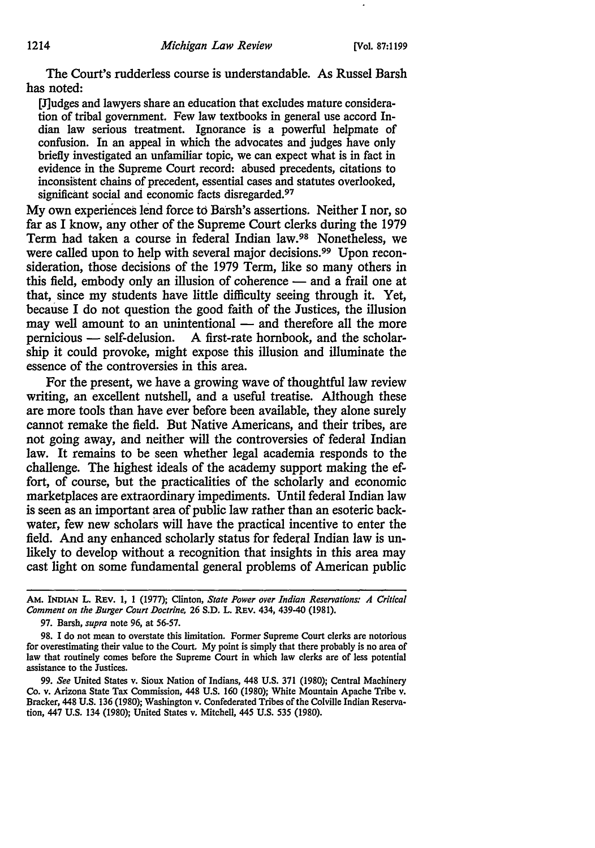The Court's rudderless course is understandable. As Russel Barsh has noted:

[J]udges and lawyers share an education that excludes mature consideration of tribal government. Few law textbooks in general use accord Indian law serious treatment. Ignorance is a powerful helpmate of confusion. In an appeal in which the advocates and judges have only briefly investigated an unfamiliar topic, we can expect what is in fact in evidence in the Supreme Court record: abused precedents, citations to inconsistent chains of precedent, essential cases and statutes overlooked, significant social and economic facts disregarded. *91* 

My own experiences lend force to Barsh's assertions. Neither I nor, so far as I know, any other of the Supreme Court clerks during the 1979 Term had taken a course in federal Indian law.98 Nonetheless, we were called upon to help with several major decisions.<sup>99</sup> Upon reconsideration, those decisions of the 1979 Term, like so many others in this field, embody only an illusion of coherence  $-$  and a frail one at that, since my students have little difficulty seeing through it. Yet, because I do not question the good faith of the Justices, the illusion may well amount to an unintentional — and therefore all the more pernicious — self-delusion. A first-rate hornbook, and the scholarship it could provoke, might expose this illusion and illuminate the essence of the controversies in this area.

For the present, we have a growing wave of thoughtful law review writing, an excellent nutshell, and a useful treatise. Although these are more tools than have ever before been available, they alone surely cannot remake the field. But Native Americans, and their tribes, are not going away, and neither will the controversies of federal Indian law. It remains to be seen whether legal academia responds to the challenge. The highest ideals of the academy support making the effort, of course, but the practicalities of the scholarly and economic marketplaces are extraordinary impediments. Until federal Indian law is seen as an important area of public law rather than an esoteric backwater, few new scholars will have the practical incentive to enter the field. And any enhanced scholarly status for federal Indian law is unlikely to develop without a recognition that insights in this area may cast light on some fundamental general problems of American public

AM. INDIAN L. REV. 1, 1 (1977); Clinton, *State Power over Indian Reservations: A Critical Comment on the Burger Court Doctrine, 26 S.D. L. REV. 434, 439-40 (1981).* 

<sup>97.</sup> Barsh, *supra* note 96, at 56-57.

<sup>98.</sup> I do not mean to overstate this limitation. Fonner Supreme Court clerks are notorious for overestimating their value to the Court. My point is simply that there probably is no area of law that routinely comes before the Supreme Court in which law clerks are of less potential assistance to the Justices.

<sup>99.</sup> *See* United States v. Sioux Nation of Indians, 448 U.S. 371 (1980); Central Machinery Co. v. Arizona State Tax Commission, 448 U.S. 160 (1980); White Mountain Apache Tribe v. Bracker, 448 U.S. 136 (1980); Washington v. Confederated Tribes of the Colville Indian Reservation, 447 U.S. 134 (1980); United States v. Mitchell, 445 U.S. 535 (1980).